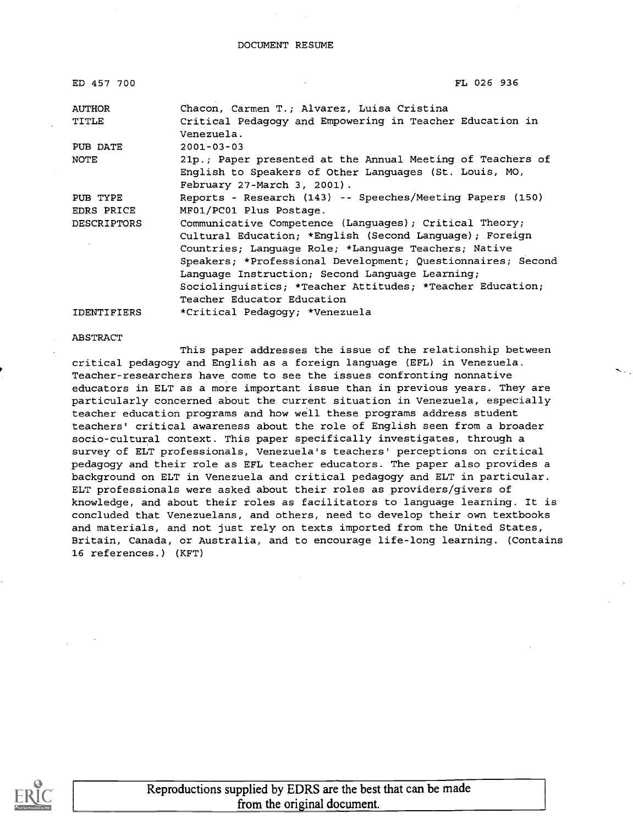| ED 457 700         | FL 026 936                                                                                                                                          |
|--------------------|-----------------------------------------------------------------------------------------------------------------------------------------------------|
| <b>AUTHOR</b>      | Chacon, Carmen T.; Alvarez, Luisa Cristina                                                                                                          |
| TITLE              | Critical Pedagogy and Empowering in Teacher Education in<br>Venezuela.                                                                              |
| PUB DATE           | $2001 - 03 - 03$                                                                                                                                    |
| NOTE               | 21p.; Paper presented at the Annual Meeting of Teachers of<br>English to Speakers of Other Languages (St. Louis, MO,<br>February 27-March 3, 2001). |
| PUB TYPE           | Reports - Research (143) -- Speeches/Meeting Papers (150)                                                                                           |
| EDRS PRICE         | MF01/PC01 Plus Postage.                                                                                                                             |
| <b>DESCRIPTORS</b> | Communicative Competence (Languages); Critical Theory;                                                                                              |
|                    | Cultural Education; *English (Second Language); Foreign                                                                                             |
|                    | Countries; Language Role; *Language Teachers; Native                                                                                                |
|                    | Speakers; *Professional Development; Questionnaires; Second                                                                                         |
|                    | Language Instruction; Second Language Learning;                                                                                                     |
|                    | Sociolinquistics; *Teacher Attitudes; *Teacher Education;                                                                                           |
|                    | Teacher Educator Education                                                                                                                          |
|                    |                                                                                                                                                     |

IDENTIFIERS \*Critical Pedagogy; \*Venezuela

#### ABSTRACT

This paper addresses the issue of the relationship between critical pedagogy and English as a foreign language (EFL) in Venezuela. Teacher-researchers have come to see the issues confronting nonnative educators in ELT as a more important issue than in previous years. They are particularly concerned about the current situation in Venezuela, especially teacher education programs and how well these programs address student teachers' critical awareness about the role of English seen from a broader socio-cultural context. This paper specifically investigates, through a survey of ELT professionals, Venezuela's teachers' perceptions on critical pedagogy and their role as EFL teacher educators. The paper also provides a background on ELT in Venezuela and critical pedagogy and ELT in particular. ELT professionals were asked about their roles as providers/givers of knowledge, and about their roles as facilitators to language learning. It is concluded that Venezuelans, and others, need to develop their own textbooks and materials, and not just rely on texts imported from the United States, Britain, Canada, or Australia, and to encourage life-long learning. (Contains 16 references.) (KFT)

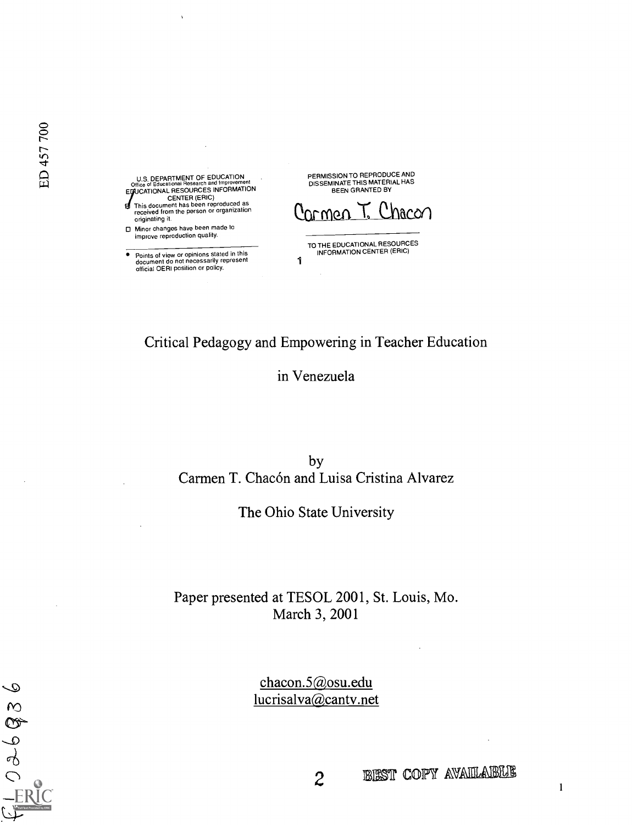U.S. DEPARTMENT OF EDUCATION<br>Office of Educational Research and Improvement<br>EDUCATIONAL RESOURCES INFORMATION CENTER (ERIC) This document has been reproduced as received from the person or organization originating it.

□ Minor changes have been made to improve reproduction quality.

Points of view or opinions stated in this document do not necessarily represent official OEFil position or policy.

PERMISSION TO REPRODUCE AND DISSEMINATE THIS MATERIAL HAS BEEN GRANTED BY

Chacon <u>armen</u>

TO THE EDUCATIONAL RESOURCES<br>
INFORMATION CENTER (ERIC)<br>1

## Critical Pedagogy and Empowering in Teacher Education

## in Venezuela

by Carmen T. Chacón and Luisa Cristina Alvarez

The Ohio State University

Paper presented at TESOL 2001, St. Louis, Mo. March 3, 2001

> chacon.5@osu.edu lucrisalva@cantv.net

2 BEST COPY AVAILLAUSTLE

 $\mathbf{1}$ 

ED 457 700

 $\mathcal{Q}$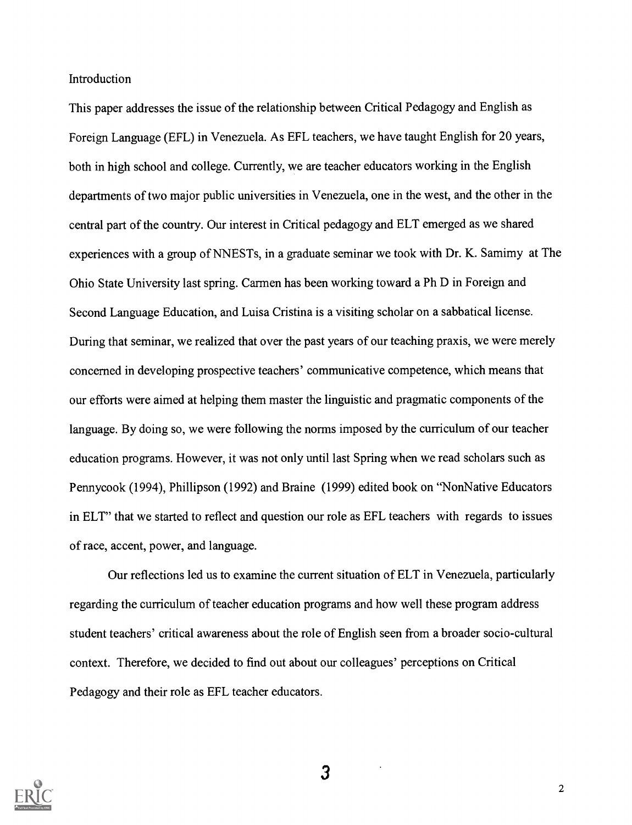Introduction

This paper addresses the issue of the relationship between Critical Pedagogy and English as Foreign Language (EFL) in Venezuela. As EFL teachers, we have taught English for 20 years, both in high school and college. Currently, we are teacher educators working in the English departments of two major public universities in Venezuela, one in the west, and the other in the central part of the country. Our interest in Critical pedagogy and ELT emerged as we shared experiences with a group of NNESTs, in a graduate seminar we took with Dr. K. Samimy at The Ohio State University last spring. Carmen has been working toward a Ph D in Foreign and Second Language Education, and Luisa Cristina is a visiting scholar on a sabbatical license. During that seminar, we realized that over the past years of our teaching praxis, we were merely concerned in developing prospective teachers' communicative competence, which means that our efforts were aimed at helping them master the linguistic and pragmatic components of the language. By doing so, we were following the norms imposed by the curriculum of our teacher education programs. However, it was not only until last Spring when we read scholars such as Pennycook (1994), Phillipson (1992) and Braine (1999) edited book on "NonNative Educators in ELT" that we started to reflect and question our role as EFL teachers with regards to issues of race, accent, power, and language.

Our reflections led us to examine the current situation of ELT in Venezuela, particularly regarding the curriculum of teacher education programs and how well these program address student teachers' critical awareness about the role of English seen from a broader socio-cultural context. Therefore, we decided to find out about our colleagues' perceptions on Critical Pedagogy and their role as EFL teacher educators.

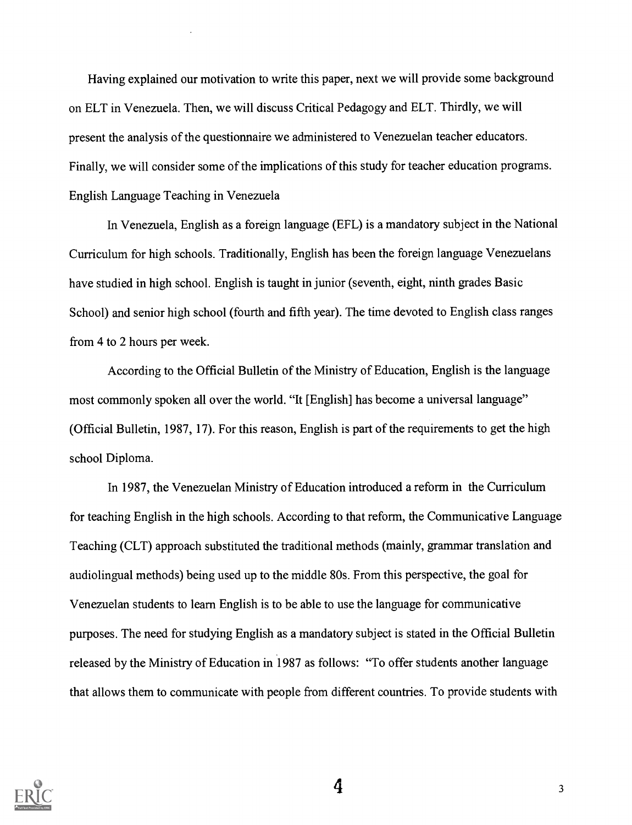Having explained our motivation to write this paper, next we will provide some background on ELT in Venezuela. Then, we will discuss Critical Pedagogy and ELT. Thirdly, we will present the analysis of the questionnaire we administered to Venezuelan teacher educators. Finally, we will consider some of the implications of this study for teacher education programs. English Language Teaching in Venezuela

In Venezuela, English as a foreign language (EFL) is a mandatory subject in the National Curriculum for high schools. Traditionally, English has been the foreign language Venezuelans have studied in high school. English is taught in junior (seventh, eight, ninth grades Basic School) and senior high school (fourth and fifth year). The time devoted to English class ranges from 4 to 2 hours per week.

According to the Official Bulletin of the Ministry of Education, English is the language most commonly spoken all over the world. "It [English] has become a universal language" (Official Bulletin, 1987, 17). For this reason, English is part of the requirements to get the high school Diploma.

In 1987, the Venezuelan Ministry of Education introduced a reform in the Curriculum for teaching English in the high schools. According to that reform, the Communicative Language Teaching (CLT) approach substituted the traditional methods (mainly, grammar translation and audiolingual methods) being used up to the middle 80s. From this perspective, the goal for Venezuelan students to learn English is to be able to use the language for communicative purposes. The need for studying English as a mandatory subject is stated in the Official Bulletin released by the Ministry of Education in 1987 as follows: "To offer students another language that allows them to communicate with people from different countries. To provide students with



 $\frac{4}{3}$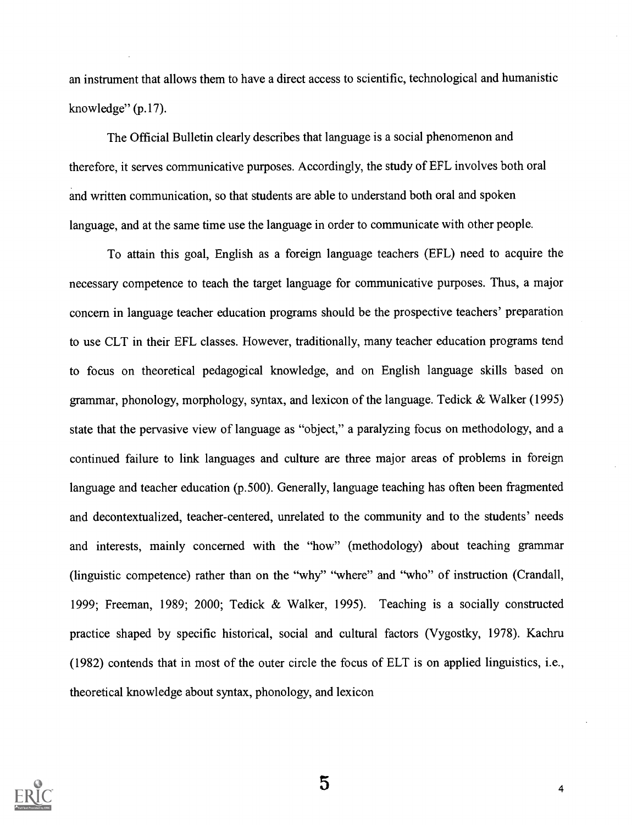an instrument that allows them to have a direct access to scientific, technological and humanistic knowledge"  $(p.17)$ .

The Official Bulletin clearly describes that language is a social phenomenon and therefore, it serves communicative purposes. Accordingly, the study of EFL involves both oral and written communication, so that students are able to understand both oral and spoken language, and at the same time use the language in order to communicate with other people.

To attain this goal, English as a foreign language teachers (EFL) need to acquire the necessary competence to teach the target language for communicative purposes. Thus, a major concern in language teacher education programs should be the prospective teachers' preparation to use CLT in their EFL classes. However, traditionally, many teacher education programs tend to focus on theoretical pedagogical knowledge, and on English language skills based on gammar, phonology, morphology, syntax, and lexicon of the language. Tedick & Walker (1995) state that the pervasive view of language as "object," a paralyzing focus on methodology, and a continued failure to link languages and culture are three major areas of problems in foreign language and teacher education (p.500). Generally, language teaching has often been fragmented and decontextualized, teacher-centered, unrelated to the community and to the students' needs and interests, mainly concerned with the "how" (methodology) about teaching grammar (linguistic competence) rather than on the "why" "where" and "who" of instruction (Crandall, 1999; Freeman, 1989; 2000; Tedick & Walker, 1995). Teaching is a socially constructed practice shaped by specific historical, social and cultural factors (Vygostky, 1978). Kachru (1982) contends that in most of the outer circle the focus of ELT is on applied linguistics, i.e., theoretical knowledge about syntax, phonology, and lexicon

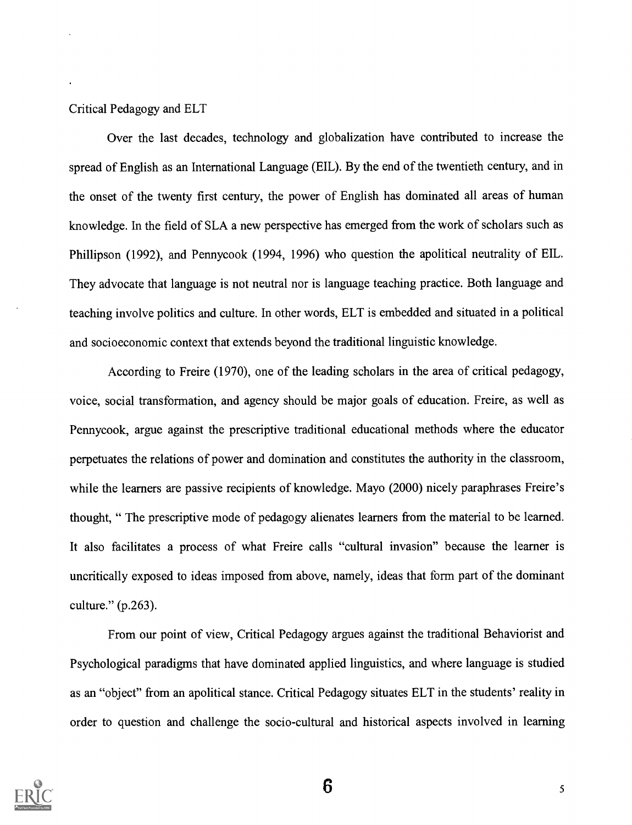#### Critical Pedagogy and ELT

Over the last decades, technology and globalization have contributed to increase the spread of English as an International Language (EIL). By the end of the twentieth century, and in the onset of the twenty first century, the power of English has dominated all areas of human knowledge. In the field of SLA a new perspective has emerged from the work of scholars such as Phillipson (1992), and Pennycook (1994, 1996) who question the apolitical neutrality of EIL. They advocate that language is not neutral nor is language teaching practice. Both language and teaching involve politics and culture. In other words, ELT is embedded and situated in a political and socioeconomic context that extends beyond the traditional linguistic knowledge.

According to Freire (1970), one of the leading scholars in the area of critical pedagogy, voice, social transformation, and agency should be major goals of education. Freire, as well as Pennycook, argue against the prescriptive traditional educational methods where the educator perpetuates the relations of power and domination and constitutes the authority in the classroom, while the learners are passive recipients of knowledge. Mayo (2000) nicely paraphrases Freire's thought, " The prescriptive mode of pedagogy alienates learners from the material to be learned. It also facilitates a process of what Freire calls "cultural invasion" because the learner is uncritically exposed to ideas imposed from above, namely, ideas that form part of the dominant culture." (p.263).

From our point of view, Critical Pedagogy argues against the traditional Behaviorist and Psychological paradigms that have dominated applied linguistics, and where language is studied as an "object" from an apolitical stance. Critical Pedagogy situates ELT in the students' reality in order to question and challenge the socio-cultural and historical aspects involved in learning

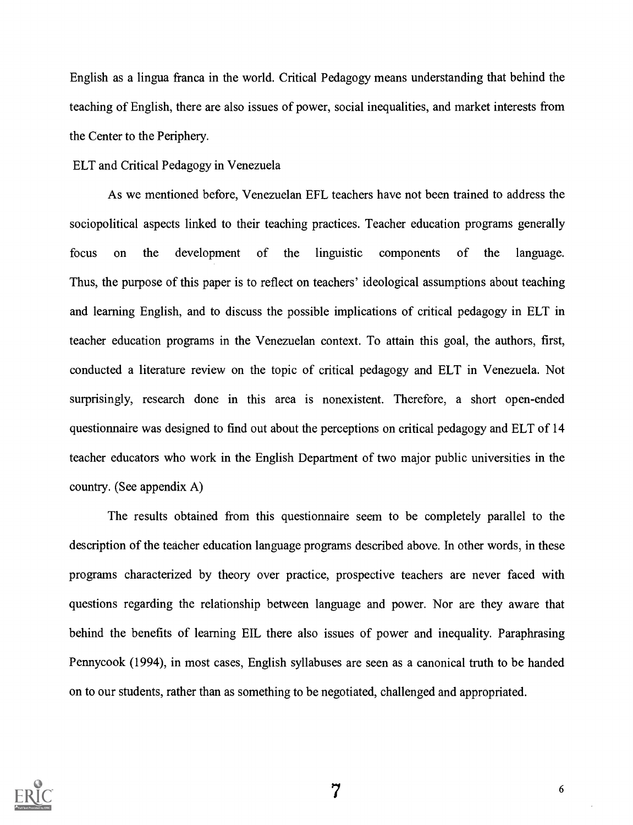English as a lingua franca in the world. Critical Pedagogy means understanding that behind the teaching of English, there are also issues of power, social inequalities, and market interests from the Center to the Periphery.

#### ELT and Critical Pedagogy in Venezuela

As we mentioned before, Venezuelan EFL teachers have not been trained to address the sociopolitical aspects linked to their teaching practices. Teacher education programs generally focus on the development of the linguistic components of the language. Thus, the purpose of this paper is to reflect on teachers' ideological assumptions about teaching and learning English, and to discuss the possible implications of critical pedagogy in ELT in teacher education programs in the Venezuelan context. To attain this goal, the authors, first, conducted a literature review on the topic of critical pedagogy and ELT in Venezuela. Not surprisingly, research done in this area is nonexistent. Therefore, a short open-ended questionnaire was designed to find out about the perceptions on critical pedagogy and ELT of 14 teacher educators who work in the English Department of two major public universities in the country. (See appendix A)

The results obtained from this questionnaire seem to be completely parallel to the description of the teacher education language programs described above. In other words, in these programs characterized by theory over practice, prospective teachers are never faced with questions regarding the relationship between language and power. Nor are they aware that behind the benefits of learning EIL there also issues of power and inequality. Paraphrasing Pennycook (1994), in most cases, English syllabuses are seen as a canonical truth to be handed on to our students, rather than as something to be negotiated, challenged and appropriated.

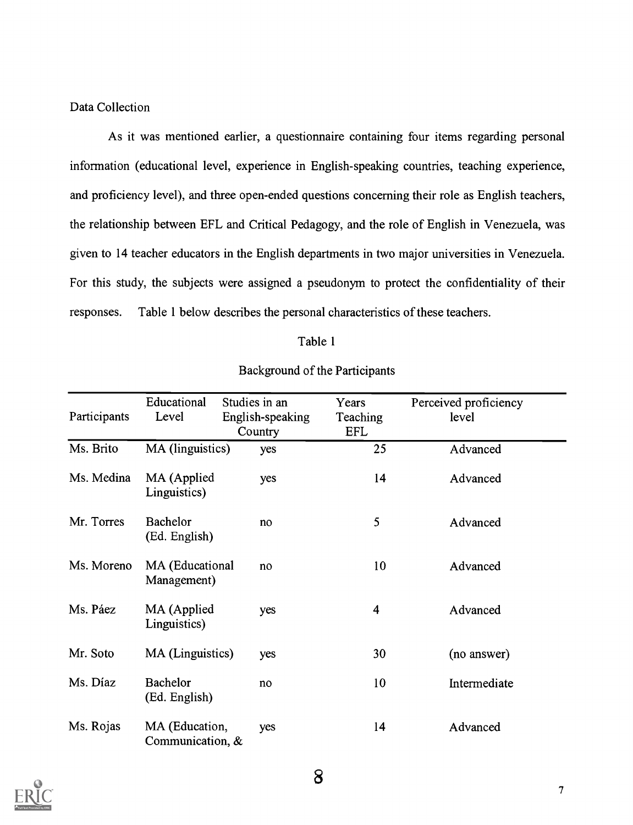#### Data Collection

As it was mentioned earlier, a questionnaire containing four items regarding personal information (educational level, experience in English-speaking countries, teaching experience, and proficiency level), and three open-ended questions concerning their role as English teachers, the relationship between EFL and Critical Pedagogy, and the role of English in Venezuela, was given to 14 teacher educators in the English departments in two major universities in Venezuela. For this study, the subjects were assigned a pseudonym to protect the confidentiality of their responses. Table 1 below describes the personal characteristics of these teachers.

#### Table 1

| Participants | Educational<br>Level               | Studies in an<br>English-speaking<br>Country | Years<br>Teaching<br><b>EFL</b> | Perceived proficiency<br>level |
|--------------|------------------------------------|----------------------------------------------|---------------------------------|--------------------------------|
| Ms. Brito    | MA (linguistics)                   | yes                                          | 25                              | Advanced                       |
| Ms. Medina   | MA (Applied<br>Linguistics)        | yes                                          | 14                              | Advanced                       |
| Mr. Torres   | Bachelor<br>(Ed. English)          | no                                           | 5                               | Advanced                       |
| Ms. Moreno   | MA (Educational<br>Management)     | no                                           | 10                              | Advanced                       |
| Ms. Páez     | MA (Applied<br>Linguistics)        | yes                                          | 4                               | Advanced                       |
| Mr. Soto     | MA (Linguistics)                   | yes                                          | 30                              | (no answer)                    |
| Ms. Díaz     | Bachelor<br>(Ed. English)          | no                                           | 10                              | Intermediate                   |
| Ms. Rojas    | MA (Education,<br>Communication, & | yes                                          | 14                              | Advanced                       |

#### Background of the Participants

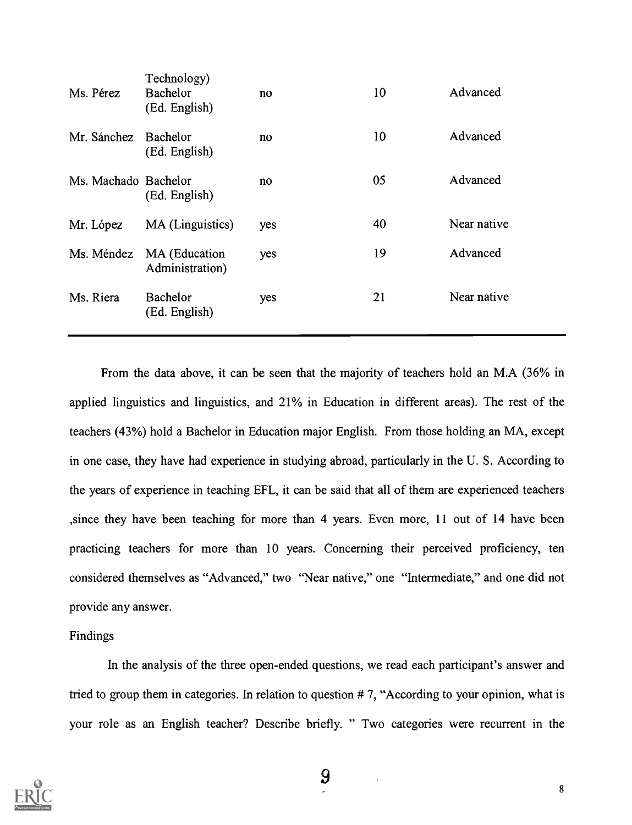| Ms. Pérez            | Technology)<br>Bachelor<br>(Ed. English) | no  | 10 | Advanced    |
|----------------------|------------------------------------------|-----|----|-------------|
| Mr. Sánchez          | Bachelor<br>(Ed. English)                | no  | 10 | Advanced    |
| Ms. Machado Bachelor | (Ed. English)                            | no  | 05 | Advanced    |
| Mr. López            | MA (Linguistics)                         | yes | 40 | Near native |
| Ms. Méndez           | MA (Education<br>Administration)         | yes | 19 | Advanced    |
| Ms. Riera            | Bachelor<br>(Ed. English)                | yes | 21 | Near native |
|                      |                                          |     |    |             |

From the data above, it can be seen that the majority of teachers hold an M.A (36% in applied linguistics and linguistics, and 21% in Education in different areas). The rest of the teachers (43%) hold a Bachelor in Education major English. From those holding an MA, except in one case, they have had experience in studying abroad, particularly in the U. S. According to the years of experience in teaching EFL, it can be said that all of them are experienced teachers ,since they have been teaching for more than 4 years. Even more, 11 out of 14 have been practicing teachers for more than 10 years. Concerning their perceived proficiency, ten considered themselves as "Advanced," two "Near native," one "Intermediate," and one did not provide any answer.

## Findings

In the analysis of the three open-ended questions, we read each participant's answer and tried to group them in categories. In relation to question # 7, "According to your opinion, what is your role as an English teacher? Describe briefly. " Two categories were recurrent in the

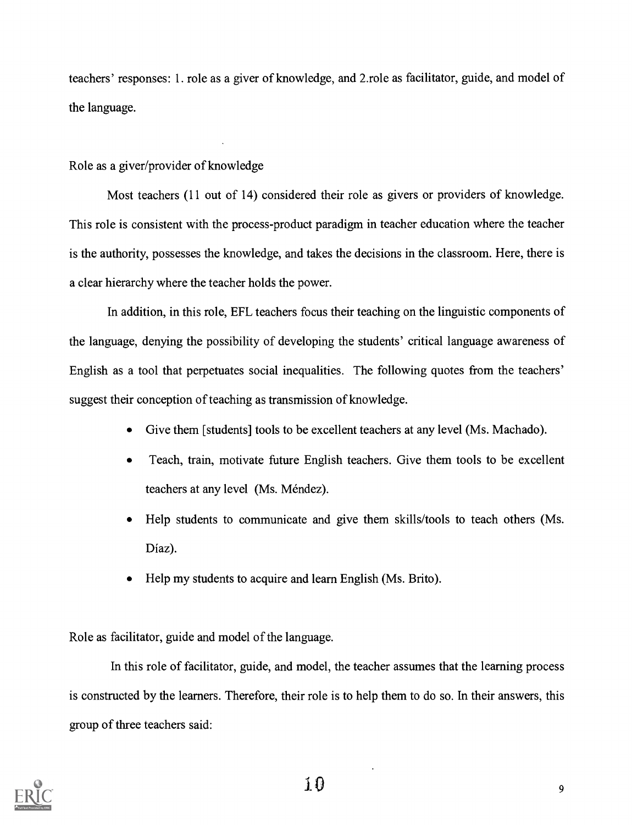teachers' responses: 1. role as a giver of knowledge, and 2.role as facilitator, guide, and model of the language.

## Role as a giver/provider of knowledge

Most teachers (11 out of 14) considered their role as givers or providers of knowledge. This role is consistent with the process-product paradigm in teacher education where the teacher is the authority, possesses the knowledge, and takes the decisions in the classroom. Here, there is a clear hierarchy where the teacher holds the power.

In addition, in this role, EFL teachers focus their teaching on the linguistic components of the language, denying the possibility of developing the students' critical language awareness of English as a tool that perpetuates social inequalities. The following quotes from the teachers' suggest their conception of teaching as transmission of knowledge.

- $\bullet$ Give them [students] tools to be excellent teachers at any level (Ms. Machado).
- Teach, train, motivate future English teachers. Give them tools to be excellent teachers at any level (Ms. Méndez).
- Help students to communicate and give them skills/tools to teach others (Ms. Diaz).
- Help my students to acquire and learn English (Ms. Brito).

Role as facilitator, guide and model of the language.

In this role of facilitator, guide, and model, the teacher assumes that the learning process is constructed by the learners. Therefore, their role is to help them to do so. In their answers, this group of three teachers said:

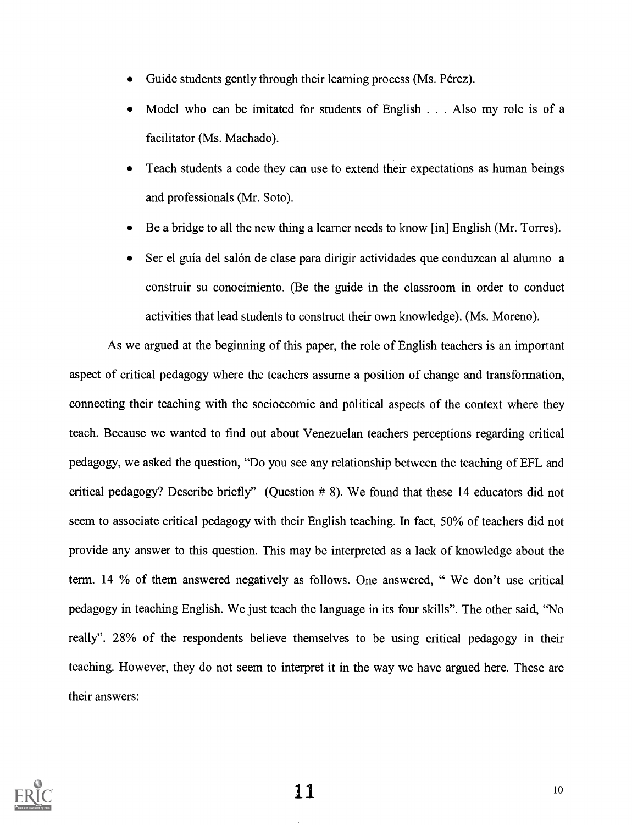- Guide students gently through their learning process (Ms. Pérez).
- Model who can be imitated for students of English . . . Also my role is of a facilitator (Ms. Machado).
- Teach students a code they can use to extend their expectations as human beings and professionals (Mr. Soto).
- Be a bridge to all the new thing a learner needs to know [in] English (Mr. Torres).
- Ser el guía del salón de clase para dirigir actividades que conduzcan al alumno a construir su conocimiento. (Be the guide in the classroom in order to conduct activities that lead students to construct their own knowledge). (Ms. Moreno).

As we argued at the beginning of this paper, the role of English teachers is an important aspect of critical pedagogy where the teachers assume a position of change and transformation, connecting their teaching with the socioecomic and political aspects of the context where they teach. Because we wanted to find out about Venezuelan teachers perceptions regarding critical pedagogy, we asked the question, "Do you see any relationship between the teaching of EFL and critical pedagogy? Describe briefly" (Question # 8). We found that these 14 educators did not seem to associate critical pedagogy with their English teaching. In fact, 50% of teachers did not provide any answer to this question. This may be interpreted as a lack of knowledge about the term. 14 % of them answered negatively as follows. One answered, " We don't use critical pedagogy in teaching English. We just teach the language in its four skills". The other said, "No really". 28% of the respondents believe themselves to be using critical pedagogy in their teaching. However, they do not seem to interpret it in the way we have argued here. These are their answers:

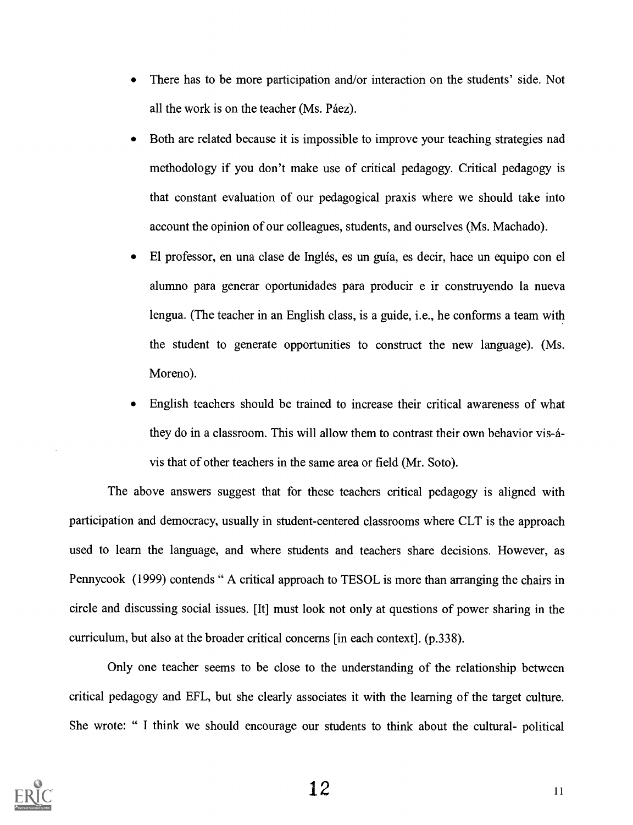- There has to be more participation and/or interaction on the students' side. Not  $\bullet$ all the work is on the teacher (Ms. Páez).
- Both are related because it is impossible to improve your teaching strategies nad methodology if you don't make use of critical pedagogy. Critical pedagogy is that constant evaluation of our pedagogical praxis where we should take into account the opinion of our colleagues, students, and ourselves (Ms. Machado).
- El professor, en una clase de Inglés, es un guia, es decir, hace un equipo con el  $\bullet$ alumno para generar oportunidades para producir e ir construyendo la nueva lengua. (The teacher in an English class, is a guide, i.e., he conforms a team with the student to generate opportunities to construct the new language). (Ms. Moreno).
- English teachers should be trained to increase their critical awareness of what they do in a classroom. This will allow them to contrast their own behavior vis-avis that of other teachers in the same area or field (Mr. Soto).

The above answers suggest that for these teachers critical pedagogy is aligned with participation and democracy, usually in student-centered classrooms where CLT is the approach used to learn the language, and where students and teachers share decisions. However, as Pennycook (1999) contends " A critical approach to TESOL is more than arranging the chairs in circle and discussing social issues. [It] must look not only at questions of power sharing in the curriculum, but also at the broader critical concerns [in each context]. (p.338).

Only one teacher seems to be close to the understanding of the relationship between critical pedagogy and EFL, but she clearly associates it with the learning of the target culture. She wrote: " I think we should encourage our students to think about the cultural- political

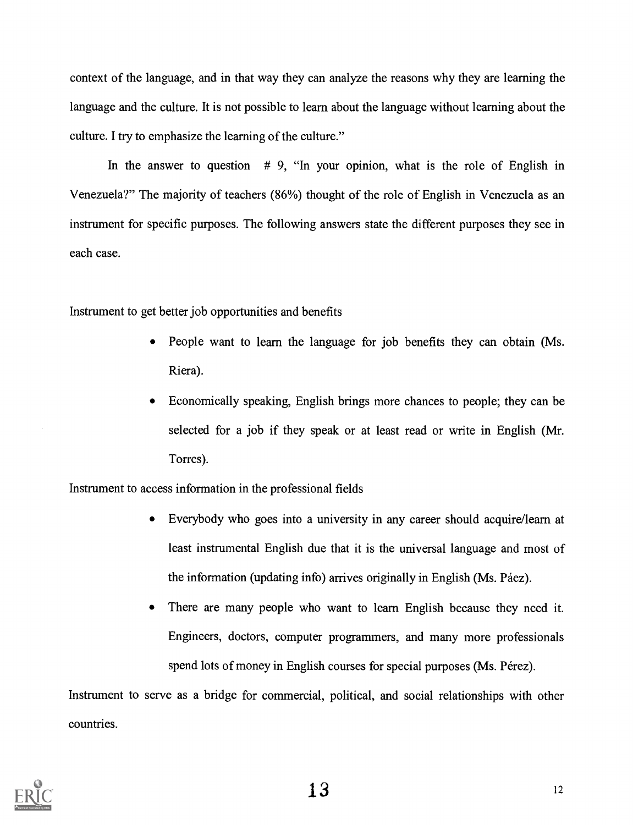context of the language, and in that way they can analyze the reasons why they are learning the language and the culture. It is not possible to learn about the language without learning about the culture. I try to emphasize the learning of the culture."

In the answer to question  $# 9$ , "In your opinion, what is the role of English in Venezuela?" The majority of teachers (86%) thought of the role of English in Venezuela as an instrument for specific purposes. The following answers state the different purposes they see in each case.

Instrument to get better job opportunities and benefits

- People want to learn the language for job benefits they can obtain (Ms. Riera).
- Economically speaking, English brings more chances to people; they can be selected for a job if they speak or at least read or write in English (Mr. Torres).

Instrument to access information in the professional fields

- Everybody who goes into a university in any career should acquire/learn at least instrumental English due that it is the universal language and most of the information (updating info) arrives originally in English (Ms. Páez).
- There are many people who want to learn English because they need it. Engineers, doctors, computer programmers, and many more professionals spend lots of money in English courses for special purposes (Ms. Pérez).

Instrument to serve as a bridge for commercial, political, and social relationships with other countries.

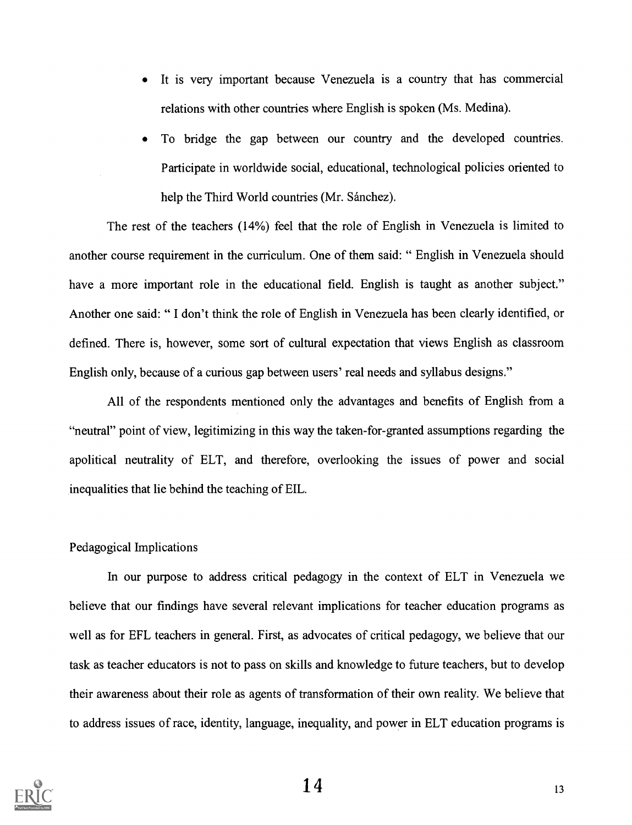- It is very important because Venezuela is a country that has commercial relations with other countries where English is spoken (Ms. Medina).
- To bridge the gap between our country and the developed countries. Participate in worldwide social, educational, technological policies oriented to help the Third World countries (Mr. Sánchez).

The rest of the teachers (14%) feel that the role of English in Venezuela is limited to another course requirement in the curriculum. One of them said: " English in Venezuela should have a more important role in the educational field. English is taught as another subject." Another one said: " I don't think the role of English in Venezuela has been clearly identified, or defined. There is, however, some sort of cultural expectation that views English as classroom English only, because of a curious gap between users' real needs and syllabus designs."

All of the respondents mentioned only the advantages and benefits of English from a "neutral" point of view, legitimizing in this way the taken-for-granted assumptions regarding the apolitical neutrality of ELT, and therefore, overlooking the issues of power and social inequalities that lie behind the teaching of EIL.

#### Pedagogical Implications

In our purpose to address critical pedagogy in the context of ELT in Venezuela we believe that our findings have several relevant implications for teacher education programs as well as for EFL teachers in general. First, as advocates of critical pedagogy, we believe that our task as teacher educators is not to pass on skills and knowledge to future teachers, but to develop their awareness about their role as agents of transformation of their own reality. We believe that to address issues of race, identity, language, inequality, and power in ELT education programs is

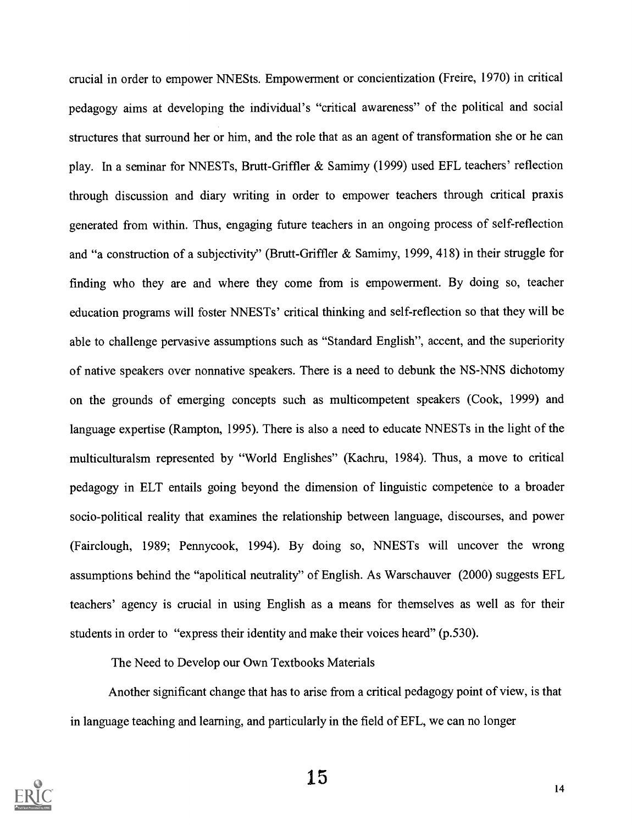crucial in order to empower NNESts. Empowerment or concientization (Freire, 1970) in critical pedagogy aims at developing the individual's "critical awareness" of the political and social structures that surround her or him, and the role that as an agent of transformation she or he can play. In a seminar for NNESTs, Brutt-Griffler & Samimy (1999) used EFL teachers' reflection through discussion and diary writing in order to empower teachers through critical praxis generated from within. Thus, engaging future teachers in an ongoing process of self-reflection and "a construction of a subjectivity" (Brutt-Griffler & Samimy, 1999, 418) in their struggle for finding who they are and where they come from is empowerment. By doing so, teacher education programs will foster NNESTs' critical thinking and self-reflection so that they will be able to challenge pervasive assumptions such as "Standard English", accent, and the superiority of native speakers over nonnative speakers. There is a need to debunk the NS-NNS dichotomy on the grounds of emerging concepts such as multicompetent speakers (Cook, 1999) and language expertise (Rampton, 1995). There is also a need to educate NNESTs in the light of the multiculturalsm represented by "World Englishes" (Kachru, 1984). Thus, a move to critical pedagogy in ELT entails going beyond the dimension of linguistic competence to a broader socio-political reality that examines the relationship between language, discourses, and power (Fairclough, 1989; Pennycook, 1994). By doing so, NNESTs will uncover the wrong assumptions behind the "apolitical neutrality" of English. As Warschauver (2000) suggests EFL teachers' agency is crucial in using English as a means for themselves as well as for their students in order to "express their identity and make their voices heard" (p.530).

The Need to Develop our Own Textbooks Materials

Another significant change that has to arise from a critical pedagogy point of view, is that in language teaching and learning, and particularly in the field of EFL, we can no longer

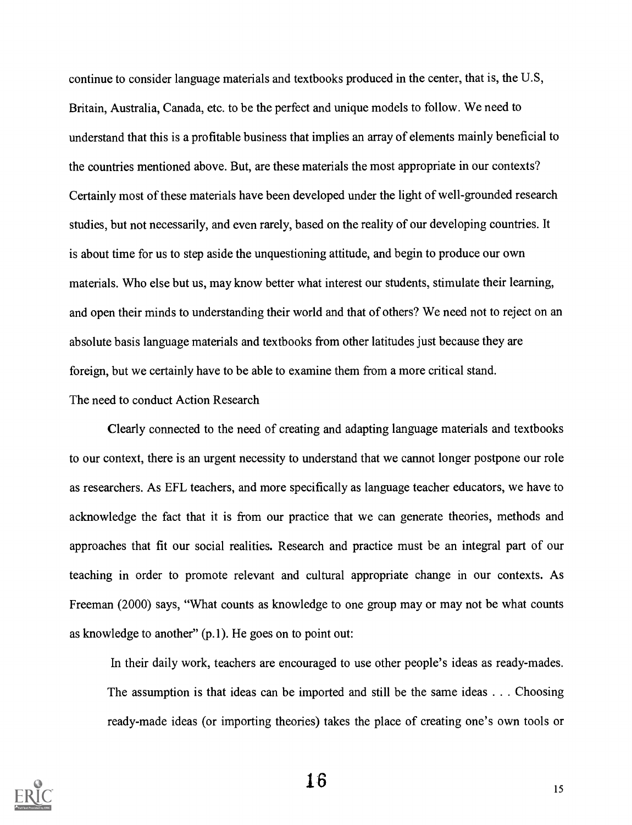continue to consider language materials and textbooks produced in the center, that is, the U.S, Britain, Australia, Canada, etc. to be the perfect and unique models to follow. We need to understand that this is a profitable business that implies an array of elements mainly beneficial to the countries mentioned above. But, are these materials the most appropriate in our contexts? Certainly most of these materials have been developed under the light of well-grounded research studies, but not necessarily, and even rarely, based on the reality of our developing countries. It is about time for us to step aside the unquestioning attitude, and begin to produce our own materials. Who else but us, may know better what interest our students, stimulate their learning, and open their minds to understanding their world and that of others? We need not to reject on an absolute basis language materials and textbooks from other latitudes just because they are foreign, but we certainly have to be able to examine them from a more critical stand.

#### The need to conduct Action Research

Clearly connected to the need of creating and adapting language materials and textbooks to our context, there is an urgent necessity to understand that we cannot longer postpone our role as researchers. As EFL teachers, and more specifically as language teacher educators, we have to acknowledge the fact that it is from our practice that we can generate theories, methods and approaches that fit our social realities. Research and practice must be an integral part of our teaching in order to promote relevant and cultural appropriate change in our contexts. As Freeman (2000) says, "What counts as knowledge to one group may or may not be what counts as knowledge to another" (p.1). He goes on to point out:

In their daily work, teachers are encouraged to use other people's ideas as ready-mades. The assumption is that ideas can be imported and still be the same ideas . . . Choosing ready-made ideas (or importing theories) takes the place of creating one's own tools or

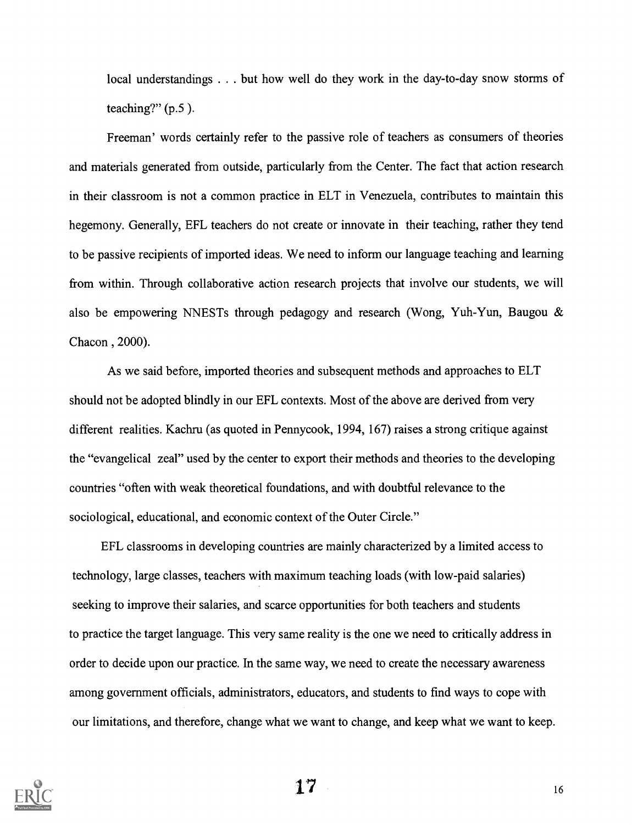local understandings . . . but how well do they work in the day-to-day snow storms of teaching?"  $(p.5)$ .

Freeman' words certainly refer to the passive role of teachers as consumers of theories and materials generated from outside, particularly from the Center. The fact that action research in their classroom is not a common practice in ELT in Venezuela, contributes to maintain this hegemony. Generally, EFL teachers do not create or innovate in their teaching, rather they tend to be passive recipients of imported ideas. We need to inform our language teaching and learning from within. Through collaborative action research projects that involve our students, we will also be empowering NNESTs through pedagogy and research (Wong, Yuh-Yun, Baugou & Chacon , 2000).

As we said before, imported theories and subsequent methods and approaches to ELT should not be adopted blindly in our EFL contexts. Most of the above are derived from very different realities. Kachru (as quoted in Pennycook, 1994, 167) raises a strong critique against the "evangelical zeal" used by the center to export their methods and theories to the developing countries "often with weak theoretical foundations, and with doubtful relevance to the sociological, educational, and economic context of the Outer Circle."

EFL classrooms in developing countries are mainly characterized by a limited access to technology, large classes, teachers with maximum teaching loads (with low-paid salaries) seeking to improve their salaries, and scarce opportunities for both teachers and students to practice the target language. This very same reality is the one we need to critically address in order to decide upon our practice. In the same way, we need to create the necessary awareness among government officials, administrators, educators, and students to find ways to cope with our limitations, and therefore, change what we want to change, and keep what we want to keep.



 $17 -$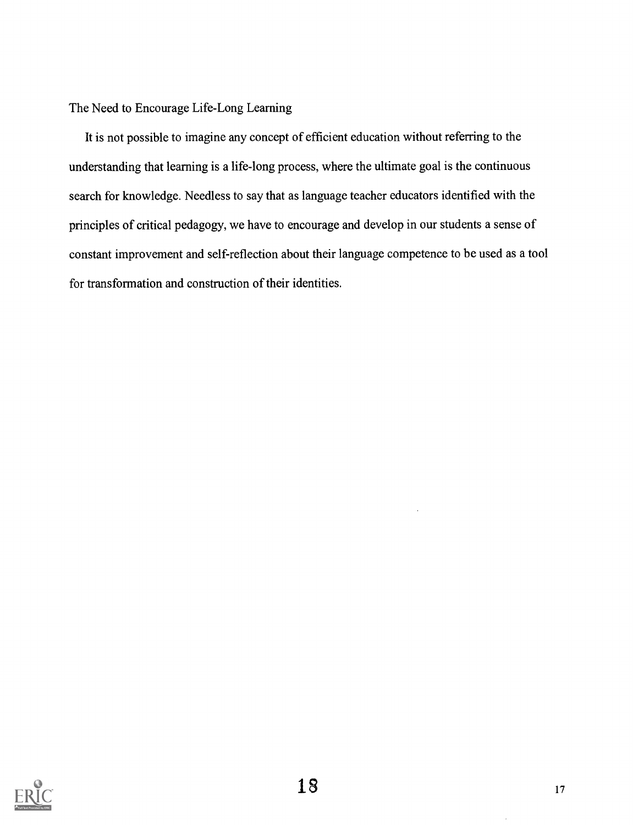### The Need to Encourage Life-Long Learning

It is not possible to imagine any concept of efficient education without referring to the understanding that learning is a life-long process, where the ultimate goal is the continuous search for knowledge. Needless to say that as language teacher educators identified with the principles of critical pedagogy, we have to encourage and develop in our students a sense of constant improvement and self-reflection about their language competence to be used as a tool for transformation and construction of their identities.

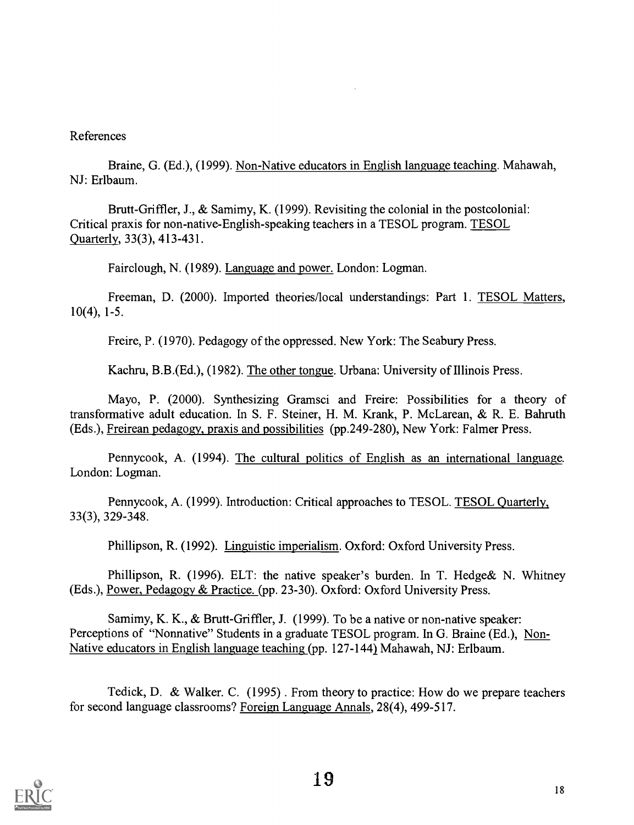### References

Braine, G. (Ed.), (1999). Non-Native educators in English language teaching. Mahawah, NJ: Erlbaum.

Brutt-Griffler, J., & Samimy, K. (1999). Revisiting the colonial in the postcolonial: Critical praxis for non-native-English-speaking teachers in a TESOL program. TESOL Quarterly, 33(3), 413-431.

Fairclough, N. (1989). Language and power. London: Logman.

Freeman, D. (2000). Imported theories/local understandings: Part 1. TESOL Matters, 10(4), 1-5.

Freire, P. (1970). Pedagogy of the oppressed. New York: The Seabury Press.

Kachru, B.B.(Ed.), (1982). The other tongue. Urbana: University of Illinois Press.

Mayo, P. (2000). Synthesizing Gramsci and Freire: Possibilities for a theory of transformative adult education. In S. F. Steiner, H. M. Krank, P. McLarean, & R. E. Bahruth (Eds.), Freirean pedagogy, praxis and possibilities (pp.249-280), New York: Falmer Press.

Pennycook, A. (1994). The cultural politics of English as an international language. London: Logman.

Pennycook, A. (1999). Introduction: Critical approaches to TESOL. TESOL Quarterly, 33(3), 329-348.

Phillipson, R. (1992). Linguistic imperialism. Oxford: Oxford University Press.

Phillipson, R. (1996). ELT: the native speaker's burden. In T. Hedge& N. Whitney (Eds.), Power, Pedagogy & Practice. (pp. 23-30). Oxford: Oxford University Press.

Samimy, K. K., & Brutt-Griffler, J. (1999). To be a native or non-native speaker: Perceptions of "Nonnative" Students in a graduate TESOL program. In G. Braine (Ed.), Non-Native educators in English language teaching (pp. 127-1441 Mahawah, NJ: Erlbaum.

Tedick, D. & Walker. C. (1995) . From theory to practice: How do we prepare teachers for second language classrooms? Foreign Language Annals, 28(4), 499-517.

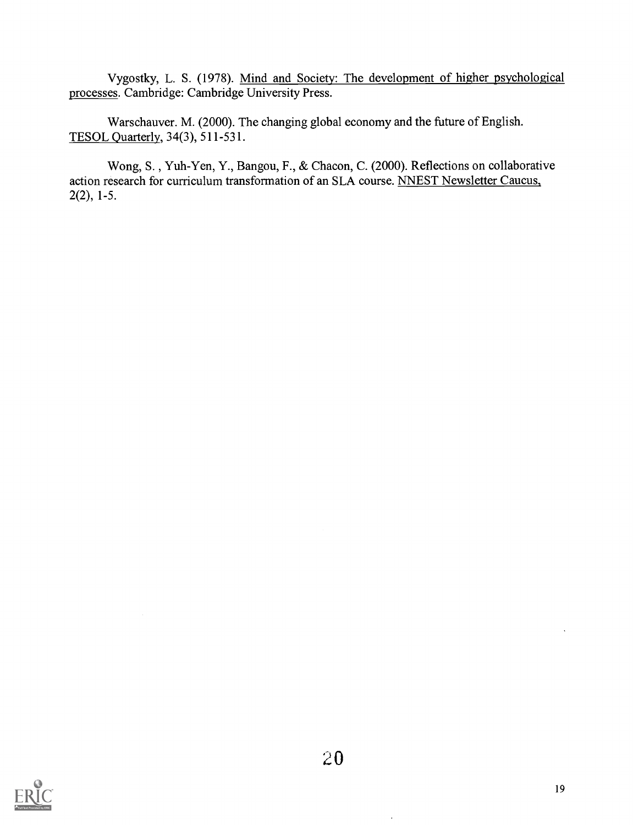Vygostky, L. S. (1978). Mind and Society: The development of higher psychological processes. Cambridge: Cambridge University Press.

Warschauver. M. (2000). The changing global economy and the future of English. TESOL Quarterly, 34(3), 511-531.

Wong, S. , Yuh-Yen, Y., Bangou, F., & Chacon, C. (2000). Reflections on collaborative action research for curriculum transformation of an SLA course. NNEST Newsletter Caucus, 2(2), 1-5.

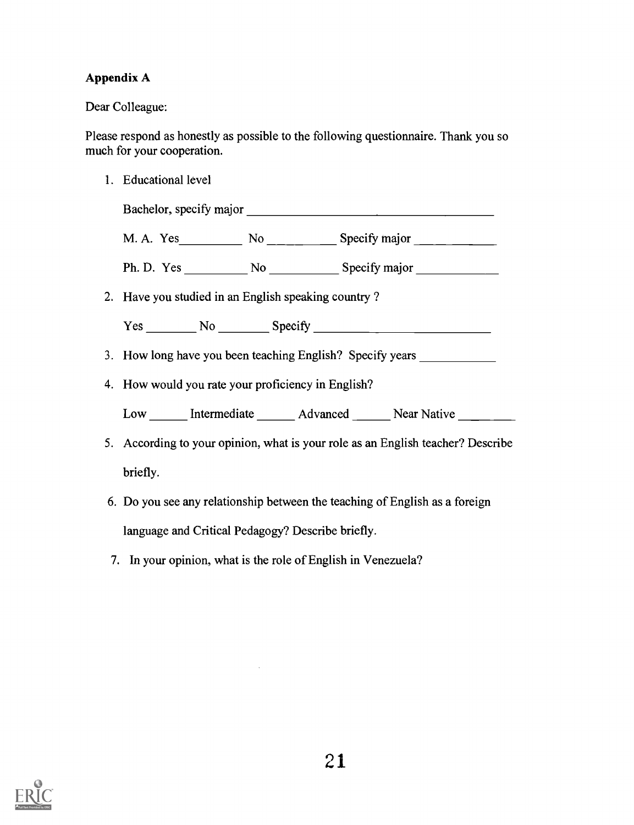## Appendix A

Dear Colleague:

Please respond as honestly as possible to the following questionnaire. Thank you so much for your cooperation.

1. Educational level

Bachelor, specify major M. A. Yes No No Specify major

Ph. D. Yes No No Specify major

2. Have you studied in an English speaking country ?

Yes No Specify No Specify No Specify No Specify No Specify No Specify No Specify No Specify No Specify No Specify No Specify No Specify No Specify No Specify No Specify No Specify No Specify No Specify No Specify No Specif

- 3. How long have you been teaching English? Specify years
- 4. How would you rate your proficiency in English?

Low Intermediate Advanced Near Native

- 5. According to your opinion, what is your role as an English teacher? Describe briefly.
- 6. Do you see any relationship between the teaching of English as a foreign language and Critical Pedagogy? Describe briefly.
- 7. In your opinion, what is the role of English in Venezuela?

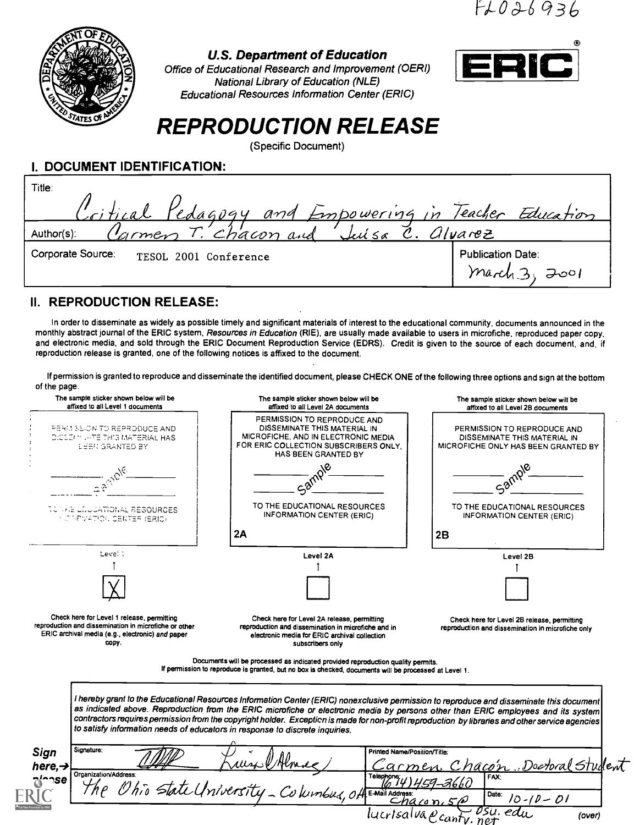1-)-001-693(2



#### U.S. Department of Education

Office of Educational Research and Improvement (OERI) National Library of Education (NLE) Educational Resources Information Center (ERIC)



# REPRODUCTION RELEASE

(Specific Document)

L DOCUMENT IDENTIFICATION:

| Title:<br>Critical Pedagogy and Empowering in Teacher Education |                                                |
|-----------------------------------------------------------------|------------------------------------------------|
| Cormen T. chacon and Juisa<br>Author(s):                        | C. <i>alvarez</i>                              |
| Corporate Source:<br>TESOL 2001 Conference                      | <b>Publication Date:</b><br>7001<br>. march 3. |

## II. REPRODUCTION RELEASE:

In order to disseminate as widely as possible timely and significant materials of interest to the educational community, documents announced in the monthly abstract journal of the ERIC system, Resources in Education (RIE), are usually made available to users in microfiche, reproduced paper copy, and electronic media, and sold through the ERIC Document Reproduction Service (EDRS). Credit is given to the source of each document, and, if reproduction release is granted, one of the following notices is affixed to the document.

If permission is granted to reproduce and disseminate the identified document, please CHECK ONE of the following three options and sign at the bottom of the page.

| The sample sticker shown below will be<br>affixed to all Level 1 documents                                                                                       | The sample sticker shown below will be<br>affixed to all Level 2A documents                                                                                                                                                                                                                                                                                                                                                                                                                                       | The sample sticker shown below will be<br>affixed to all Level 2B documents                        |  |  |
|------------------------------------------------------------------------------------------------------------------------------------------------------------------|-------------------------------------------------------------------------------------------------------------------------------------------------------------------------------------------------------------------------------------------------------------------------------------------------------------------------------------------------------------------------------------------------------------------------------------------------------------------------------------------------------------------|----------------------------------------------------------------------------------------------------|--|--|
| PERMISSION TO REPRODUCE AND<br>DICED HILL TE THIS MATERIAL HAS<br>LEER GRANTED BY                                                                                | PERMISSION TO REPRODUCE AND<br>DISSEMINATE THIS MATERIAL IN<br>MICROFICHE, AND IN ELECTRONIC MEDIA<br>FOR ERIC COLLECTION SUBSCRIBERS ONLY.<br>HAS BEEN GRANTED BY                                                                                                                                                                                                                                                                                                                                                | PERMISSION TO REPRODUCE AND<br>DISSEMINATE THIS MATERIAL IN<br>MICROFICHE ONLY HAS BEEN GRANTED BY |  |  |
|                                                                                                                                                                  |                                                                                                                                                                                                                                                                                                                                                                                                                                                                                                                   |                                                                                                    |  |  |
| LIJUJATIONAL RESOURCES<br>HIJ PEVATION OENTER (ERIO)                                                                                                             | TO THE EDUCATIONAL RESOURCES<br><b>INFORMATION CENTER (ERIC)</b><br>2A                                                                                                                                                                                                                                                                                                                                                                                                                                            | TO THE EDUCATIONAL RESOURCES<br><b>INFORMATION CENTER (ERIC)</b><br>2B                             |  |  |
| Leve! :                                                                                                                                                          | Level 2A                                                                                                                                                                                                                                                                                                                                                                                                                                                                                                          | Level 2B                                                                                           |  |  |
|                                                                                                                                                                  |                                                                                                                                                                                                                                                                                                                                                                                                                                                                                                                   |                                                                                                    |  |  |
| Check here for Level 1 release, permitting<br>reproduction and dissemination in microfiche or other<br>ERIC archival media (e.g., electronic) and paper<br>CODY. | Check here for Level 2A release, permitting<br>reproduction and dissemination in microfiche and in<br>electronic media for ERIC archival collection<br>subscribers only                                                                                                                                                                                                                                                                                                                                           | Check here for Level 2B release, permitting<br>reproduction and dissemination in microfiche only   |  |  |
|                                                                                                                                                                  | Documents will be processed as indicated provided reproduction quality permits.<br>If permission to reproduce is granted, but no box is checked, documents will be processed at Level 1.                                                                                                                                                                                                                                                                                                                          |                                                                                                    |  |  |
|                                                                                                                                                                  | I hereby grant to the Educational Resources Information Center (ERIC) nonexclusive permission to reproduce and disseminate this document<br>as indicated above. Reproduction from the ERIC microfiche or electronic media by persons other than ERIC employees and its system<br>contractors requires permission from the copyright holder. Exception is made for non-profit reproduction by libraries and other service agencies<br>to satisfy information needs of educators in response to discrete inquiries. |                                                                                                    |  |  |
| Signature:<br>Sign<br>here, $\rightarrow$                                                                                                                        | Printed Name/Position/Title:<br>armen                                                                                                                                                                                                                                                                                                                                                                                                                                                                             | Chacon Doctoral Student                                                                            |  |  |
| Organization/Address:<br>Telephone;<br>FAX:<br>∿′≏≏se<br>Adress:<br>Ohio State University - Columbus, Of E-Mail Address:<br>Date: $10 - 10 - 01$<br>Chaton       |                                                                                                                                                                                                                                                                                                                                                                                                                                                                                                                   |                                                                                                    |  |  |
|                                                                                                                                                                  |                                                                                                                                                                                                                                                                                                                                                                                                                                                                                                                   | lucrisalva&canty.net<br>(over)                                                                     |  |  |